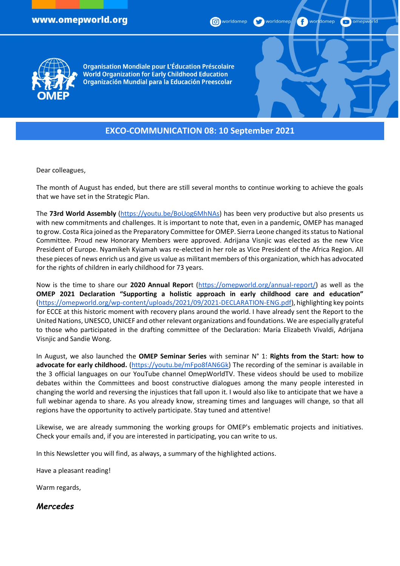**P** worldomep  $\bullet$  omepworld



**Organisation Mondiale pour L'Éducation Préscolaire World Organization for Early Childhood Education** Organización Mundial para la Educación Preescolar

# **EXCO-COMMUNICATION 08: 10 September 2021**

Dear colleagues,

The month of August has ended, but there are still several months to continue working to achieve the goals that we have set in the Strategic Plan.

The **73rd World Assembly** [\(https://youtu.be/BoUog6MhNAs\)](https://youtu.be/BoUog6MhNAs) has been very productive but also presents us with new commitments and challenges. It is important to note that, even in a pandemic, OMEP has managed to grow. Costa Rica joined as the Preparatory Committee for OMEP. Sierra Leone changed its status to National Committee. Proud new Honorary Members were approved. Adrijana Visnjic was elected as the new Vice President of Europe. Nyamikeh Kyiamah was re-elected in her role as Vice President of the Africa Region. All these pieces of news enrich us and give us value as militant members of this organization, which has advocated for the rights of children in early childhood for 73 years.

Now is the time to share our **2020 Annual Repor**t [\(https://omepworld.org/annual-report/\)](https://omepworld.org/annual-report/) as well as the **OMEP 2021 Declaration "Supporting a holistic approach in early childhood care and education"** [\(https://omepworld.org/wp-content/uploads/2021/09/2021-DECLARATION-ENG.pdf\)](https://omepworld.org/wp-content/uploads/2021/09/2021-DECLARATION-ENG.pdf), highlighting key points for ECCE at this historic moment with recovery plans around the world. I have already sent the Report to the United Nations, UNESCO, UNICEF and other relevant organizations and foundations. We are especially grateful to those who participated in the drafting committee of the Declaration: María Elizabeth Vivaldi, Adrijana Visnjic and Sandie Wong.

In August, we also launched the **OMEP Seminar Series** with seminar N° 1: **Rights from the Start: how to advocate for early childhood.** [\(https://youtu.be/mFpo8fAN6Gk\)](https://youtu.be/mFpo8fAN6Gk) The recording of the seminar is available in the 3 official languages on our YouTube channel OmepWorldTV. These videos should be used to mobilize debates within the Committees and boost constructive dialogues among the many people interested in changing the world and reversing the injustices that fall upon it. I would also like to anticipate that we have a full webinar agenda to share. As you already know, streaming times and languages will change, so that all regions have the opportunity to actively participate. Stay tuned and attentive!

Likewise, we are already summoning the working groups for OMEP's emblematic projects and initiatives. Check your emails and, if you are interested in participating, you can write to us.

In this Newsletter you will find, as always, a summary of the highlighted actions.

Have a pleasant reading!

Warm regards,

*Mercedes*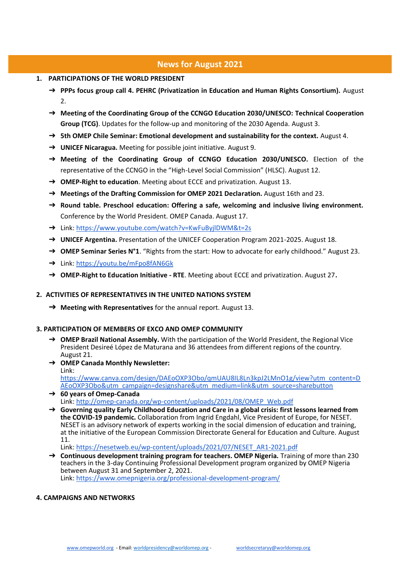# **News for August 2021**

- **1. PARTICIPATIONS OF THE WORLD PRESIDENT**
	- ➔ **PPPs focus group call 4. PEHRC (Privatization in Education and Human Rights Consortium).** August  $\mathcal{L}$
	- ➔ **Meeting of the Coordinating Group of the CCNGO Education 2030/UNESCO: Technical Cooperation Group (TCG)**. Updates for the follow-up and monitoring of the 2030 Agenda. August 3.
	- ➔ **5th OMEP Chile Seminar: Emotional development and sustainability for the context.** August 4.
	- ➔ **UNICEF Nicaragua.** Meeting for possible joint initiative. August 9.
	- ➔ **Meeting of the Coordinating Group of CCNGO Education 2030/UNESCO.** Election of the representative of the CCNGO in the "High-Level Social Commission" (HLSC). August 12.
	- ➔ **OMEP-Right to education**. Meeting about ECCE and privatization. August 13.
	- ➔ **Meetings of the Drafting Commission for OMEP 2021 Declaration.** August 16th and 23.
	- ➔ **Round table. Preschool education: Offering a safe, welcoming and inclusive living environment.** Conference by the World President. OMEP Canada. August 17.
	- → Link:<https://www.youtube.com/watch?v=KwFuByjlDWM&t=2s>
	- ➔ **UNICEF Argentina.** Presentation of the UNICEF Cooperation Program 2021-2025. August 18.
	- → **OMEP Seminar Series N°1**. "Rights from the start: How to advocate for early childhood." August 23.
	- ➔ Link:<https://youtu.be/mFpo8fAN6Gk>
	- ➔ **OMEP-Right to Education Initiative - RTE**. Meeting about ECCE and privatization. August 27**.**

#### **2. ACTIVITIES OF REPRESENTATIVES IN THE UNITED NATIONS SYSTEM**

➔ **Meeting with Representatives** for the annual report. August 13.

#### **3. PARTICIPATION OF MEMBERS OF EXCO AND OMEP COMMUNITY**

- ➔ **OMEP Brazil National Assembly.** With the participation of the World President, the Regional Vice President Desireé López de Maturana and 36 attendees from different regions of the country. August 21.
- ➔ **OMEP Canada Monthly Newsletter:** Link: [https://www.canva.com/design/DAEoOXP3Obo/qmUAU8IL8Ln3kpJ2LMnO1g/view?utm\\_content=D](https://www.canva.com/design/DAEoOXP3Obo/qmUAU8IL8Ln3kpJ2LMnO1g/view?utm_content=DAEoOXP3Obo&utm_campaign=designshare&utm_medium=link&utm_source=sharebutton) [AEoOXP3Obo&utm\\_campaign=designshare&utm\\_medium=link&utm\\_source=sharebutton](https://www.canva.com/design/DAEoOXP3Obo/qmUAU8IL8Ln3kpJ2LMnO1g/view?utm_content=DAEoOXP3Obo&utm_campaign=designshare&utm_medium=link&utm_source=sharebutton)
- ➔ **60 years of Omep-Canada** Link: [http://omep-canada.org/wp-content/uploads/2021/08/OMEP\\_Web.pdf](http://omep-canada.org/wp-content/uploads/2021/08/OMEP_Web.pdf)
- ➔ **Governing quality Early Childhood Education and Care in a global crisis: first lessons learned from the COVID-19 pandemic.** Collaboration from Ingrid Engdahl, Vice President of Europe, for NESET. NESET is an advisory network of experts working in the social dimension of education and training, at the initiative of the European Commission Directorate General for Education and Culture. August 11.

Link: [https://nesetweb.eu/wp-content/uploads/2021/07/NESET\\_AR1-2021.pdf](https://nesetweb.eu/wp-content/uploads/2021/07/NESET_AR1-2021.pdf)

➔ **Continuous development training program for teachers. OMEP Nigeria.** Training of more than 230 teachers in the 3-day Continuing Professional Development program organized by OMEP Nigeria between August 31 and September 2, 2021. Link:<https://www.omepnigeria.org/professional-development-program/>

#### **4. CAMPAIGNS AND NETWORKS**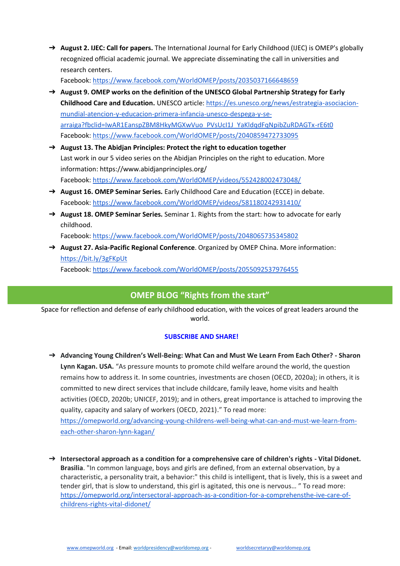➔ **August 2. IJEC: Call for papers.** The International Journal for Early Childhood (IJEC) is OMEP's globally recognized official academic journal. We appreciate disseminating the call in universities and research centers.

Facebook: <https://www.facebook.com/WorldOMEP/posts/2035037166648659>

- ➔ **August 9. OMEP works on the definition of the UNESCO Global Partnership Strategy for Early Childhood Care and Education.** UNESCO article[: https://es.unesco.org/news/estrategia-asociacion](https://es.unesco.org/news/estrategia-asociacion-mundial-atencion-y-educacion-primera-infancia-unesco-despega-y-se-arraiga?fbclid=IwAR1EanspZBM8HkyMGXwVuo_PVsUcI1J_YaKldqdFqNpibZuRDAGTx-rE6t0)[mundial-atencion-y-educacion-primera-infancia-unesco-despega-y-se](https://es.unesco.org/news/estrategia-asociacion-mundial-atencion-y-educacion-primera-infancia-unesco-despega-y-se-arraiga?fbclid=IwAR1EanspZBM8HkyMGXwVuo_PVsUcI1J_YaKldqdFqNpibZuRDAGTx-rE6t0)[arraiga?fbclid=IwAR1EanspZBM8HkyMGXwVuo\\_PVsUcI1J\\_YaKldqdFqNpibZuRDAGTx-rE6t0](https://es.unesco.org/news/estrategia-asociacion-mundial-atencion-y-educacion-primera-infancia-unesco-despega-y-se-arraiga?fbclid=IwAR1EanspZBM8HkyMGXwVuo_PVsUcI1J_YaKldqdFqNpibZuRDAGTx-rE6t0) Facebook:<https://www.facebook.com/WorldOMEP/posts/2040859472733095>
- ➔ **August 13. The Abidjan Principles: Protect the right to education together** Last work in our 5 video series on the Abidjan Principles on the right to education. More information: https://www.abidjanprinciples.org/ Facebook:<https://www.facebook.com/WorldOMEP/videos/552428002473048/>
- ➔ **August 16. OMEP Seminar Series.** Early Childhood Care and Education (ECCE) in debate. Facebook:<https://www.facebook.com/WorldOMEP/videos/581180242931410/>
- ➔ **August 18. OMEP Seminar Series.** Seminar 1. Rights from the start: how to advocate for early childhood.

Facebook:<https://www.facebook.com/WorldOMEP/posts/2048065735345802>

➔ **August 27. Asia-Pacific Regional Conference**. Organized by OMEP China. More information: <https://bit.ly/3gFKpUt> Facebook:<https://www.facebook.com/WorldOMEP/posts/2055092537976455>

# **OMEP BLOG "Rights from the start"**

Space for reflection and defense of early childhood education, with the voices of great leaders around the world.

### **SUBSCRIBE AND SHARE!**

- ➔ **Advancing Young Children's Well-Being: What Can and Must We Learn From Each Other? - Sharon Lynn Kagan. USA.** "As pressure mounts to promote child welfare around the world, the question remains how to address it. In some countries, investments are chosen (OECD, 2020a); in others, it is committed to new direct services that include childcare, family leave, home visits and health activities (OECD, 2020b; UNICEF, 2019); and in others, great importance is attached to improving the quality, capacity and salary of workers (OECD, 2021)." To read more: [https://omepworld.org/advancing-young-childrens-well-being-what-can-and-must-we-learn-from](https://omepworld.org/advancing-young-childrens-well-being-what-can-and-must-we-learn-from-each-other-sharon-lynn-kagan/)[each-other-sharon-lynn-kagan/](https://omepworld.org/advancing-young-childrens-well-being-what-can-and-must-we-learn-from-each-other-sharon-lynn-kagan/)
- ➔ **Intersectoral approach as a condition for a comprehensive care of children's rights - Vital Didonet. Brasilia**. "In common language, boys and girls are defined, from an external observation, by a characteristic, a personality trait, a behavior:" this child is intelligent, that is lively, this is a sweet and tender girl, that is slow to understand, this girl is agitated, this one is nervous… " To read more: [https://omepworld.org/intersectoral-approach-as-a-condition-for-a-comprehensthe-ive-care-of](https://omepworld.org/intersectoral-approach-as-a-condition-for-a-comprehensthe-ive-care-of-childrens-rights-vital-didonet/)[childrens-rights-vital-didonet/](https://omepworld.org/intersectoral-approach-as-a-condition-for-a-comprehensthe-ive-care-of-childrens-rights-vital-didonet/)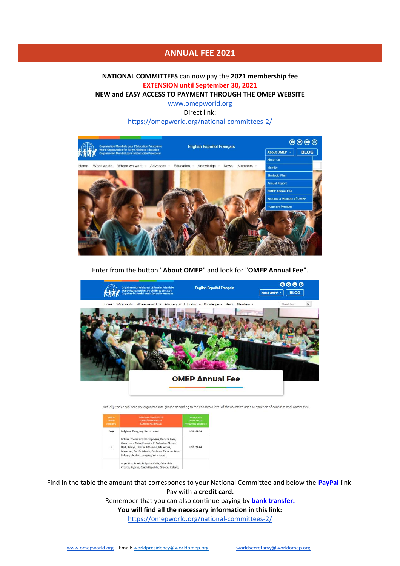## **ANNUAL FEE 2021**

## **NATIONAL COMMITTEES** can now pay the **2021 membership fee EXTENSION until September 30, 2021**

**NEW and EASY ACCESS TO PAYMENT THROUGH THE OMEP WEBSITE**

[www.omepworld.org](http://www.omepworld.org/) Direct link:

<https://omepworld.org/national-committees-2/>



Enter from the button "**About OMEP**" and look for "**OMEP Annual Fee**".



Actually, the annual fees are organized into groups according to the economic level of the countries and the situation of each National Committee.

| GROUP<br>GILLIFO.<br><b>GROUPES</b> | NATIONAL COMMITTEES<br><b>COMITÉS NACIONALES</b><br><b>COMITÉS NATIONALIX</b>                                                                                                                                                               | <b>ANNUALTEE</b><br><b>CUOTA ANUAL</b><br><b>COTISATION ANNUELLE</b> |
|-------------------------------------|---------------------------------------------------------------------------------------------------------------------------------------------------------------------------------------------------------------------------------------------|----------------------------------------------------------------------|
| Prep                                | Belgium, Paraguay, Sierra Leone                                                                                                                                                                                                             | <b>USD 172.50</b>                                                    |
|                                     | Bolivia, Bosnia and Herzegovina, Burkina Faso,<br>Cameroon, Cuba, Ecuador, El Salvador, Ghana,<br>Haiti, Kenya, Liberia, Lithuania, Mauritius,<br>Myanmar, Pacific Islands, Pakistan, Panama, Peru,<br>Poland, Ukraine, Uruguay, Venezuela. | USD 230.00                                                           |
|                                     | Argentina, Brazil, Bulgaria, Chile, Colombia,<br>Croatia, Cyprus, Czech Republic, Greece, Iceland,                                                                                                                                          |                                                                      |

Find in the table the amount that corresponds to your National Committee and below the **PayPal** link. Pay with a **credit card.**

> Remember that you can also continue paying by **bank transfer. You will find all the necessary information in this link:**  <https://omepworld.org/national-committees-2/>